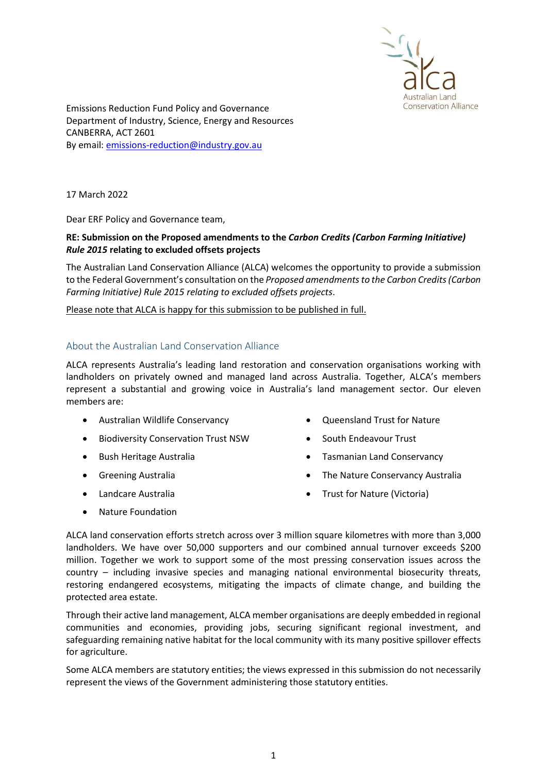

Emissions Reduction Fund Policy and Governance Department of Industry, Science, Energy and Resources CANBERRA, ACT 2601 By email: emissions-reduction@industry.gov.au

17 March 2022

Dear ERF Policy and Governance team,

# RE: Submission on the Proposed amendments to the Carbon Credits (Carbon Farming Initiative) Rule 2015 relating to excluded offsets projects

The Australian Land Conservation Alliance (ALCA) welcomes the opportunity to provide a submission to the Federal Government's consultation on the Proposed amendments to the Carbon Credits (Carbon Farming Initiative) Rule 2015 relating to excluded offsets projects.

Please note that ALCA is happy for this submission to be published in full.

## About the Australian Land Conservation Alliance

ALCA represents Australia's leading land restoration and conservation organisations working with landholders on privately owned and managed land across Australia. Together, ALCA's members represent a substantial and growing voice in Australia's land management sector. Our eleven members are:

- Australian Wildlife Conservancy
- **•** Biodiversity Conservation Trust NSW
- Bush Heritage Australia
- **•** Greening Australia
- Landcare Australia
- Oueensland Trust for Nature
- South Endeavour Trust
- Tasmanian Land Conservancy
- The Nature Conservancy Australia
- Trust for Nature (Victoria)

• Nature Foundation

ALCA land conservation efforts stretch across over 3 million square kilometres with more than 3,000 landholders. We have over 50,000 supporters and our combined annual turnover exceeds \$200 million. Together we work to support some of the most pressing conservation issues across the country – including invasive species and managing national environmental biosecurity threats, restoring endangered ecosystems, mitigating the impacts of climate change, and building the protected area estate.

Through their active land management, ALCA member organisations are deeply embedded in regional communities and economies, providing jobs, securing significant regional investment, and safeguarding remaining native habitat for the local community with its many positive spillover effects for agriculture.

Some ALCA members are statutory entities; the views expressed in this submission do not necessarily represent the views of the Government administering those statutory entities.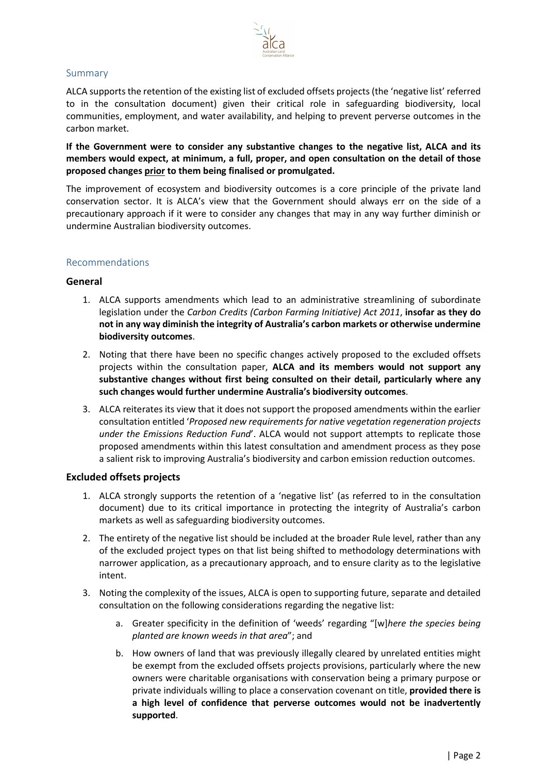

# Summary

ALCA supports the retention of the existing list of excluded offsets projects (the 'negative list' referred to in the consultation document) given their critical role in safeguarding biodiversity, local communities, employment, and water availability, and helping to prevent perverse outcomes in the carbon market.

If the Government were to consider any substantive changes to the negative list, ALCA and its members would expect, at minimum, a full, proper, and open consultation on the detail of those proposed changes prior to them being finalised or promulgated.

The improvement of ecosystem and biodiversity outcomes is a core principle of the private land conservation sector. It is ALCA's view that the Government should always err on the side of a precautionary approach if it were to consider any changes that may in any way further diminish or undermine Australian biodiversity outcomes.

## Recommendations

## General

- 1. ALCA supports amendments which lead to an administrative streamlining of subordinate legislation under the Carbon Credits (Carbon Farming Initiative) Act 2011, insofar as they do not in any way diminish the integrity of Australia's carbon markets or otherwise undermine biodiversity outcomes.
- 2. Noting that there have been no specific changes actively proposed to the excluded offsets projects within the consultation paper, ALCA and its members would not support any substantive changes without first being consulted on their detail, particularly where any such changes would further undermine Australia's biodiversity outcomes.
- 3. ALCA reiterates its view that it does not support the proposed amendments within the earlier consultation entitled 'Proposed new requirements for native vegetation regeneration projects under the Emissions Reduction Fund'. ALCA would not support attempts to replicate those proposed amendments within this latest consultation and amendment process as they pose a salient risk to improving Australia's biodiversity and carbon emission reduction outcomes.

#### Excluded offsets projects

- 1. ALCA strongly supports the retention of a 'negative list' (as referred to in the consultation document) due to its critical importance in protecting the integrity of Australia's carbon markets as well as safeguarding biodiversity outcomes.
- 2. The entirety of the negative list should be included at the broader Rule level, rather than any of the excluded project types on that list being shifted to methodology determinations with narrower application, as a precautionary approach, and to ensure clarity as to the legislative intent.
- 3. Noting the complexity of the issues, ALCA is open to supporting future, separate and detailed consultation on the following considerations regarding the negative list:
	- a. Greater specificity in the definition of 'weeds' regarding "[w]here the species being planted are known weeds in that area"; and
	- b. How owners of land that was previously illegally cleared by unrelated entities might be exempt from the excluded offsets projects provisions, particularly where the new owners were charitable organisations with conservation being a primary purpose or private individuals willing to place a conservation covenant on title, provided there is a high level of confidence that perverse outcomes would not be inadvertently supported.